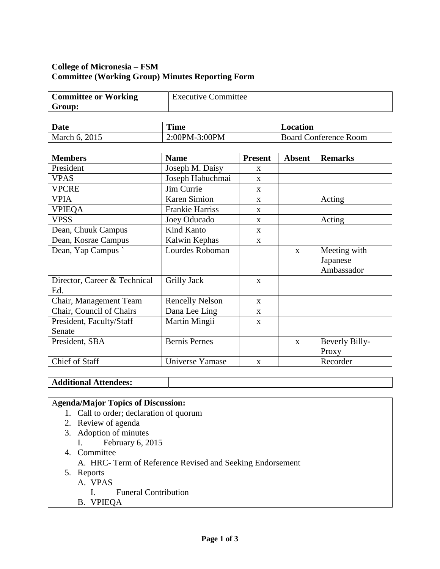### **College of Micronesia – FSM Committee (Working Group) Minutes Reporting Form**

| <b>Committee or Working</b> | <b>Executive Committee</b> |
|-----------------------------|----------------------------|
| Group:                      |                            |

| <b>Date</b>   | $\mathbf{m}$<br>Time | Location                     |  |
|---------------|----------------------|------------------------------|--|
| March 6, 2015 | 2:00PM-3:00PM        | <b>Board Conference Room</b> |  |

| <b>Members</b>                      | <b>Name</b>            | <b>Present</b> | <b>Absent</b> | <b>Remarks</b>                         |
|-------------------------------------|------------------------|----------------|---------------|----------------------------------------|
| President                           | Joseph M. Daisy        | $\mathbf{x}$   |               |                                        |
| <b>VPAS</b>                         | Joseph Habuchmai       | $\mathbf{x}$   |               |                                        |
| <b>VPCRE</b>                        | Jim Currie             | $\mathbf{x}$   |               |                                        |
| <b>VPIA</b>                         | <b>Karen Simion</b>    | $\mathbf{X}$   |               | Acting                                 |
| <b>VPIEQA</b>                       | <b>Frankie Harriss</b> | $\mathbf{X}$   |               |                                        |
| <b>VPSS</b>                         | Joey Oducado           | $\mathbf{X}$   |               | Acting                                 |
| Dean, Chuuk Campus                  | <b>Kind Kanto</b>      | $\mathbf{x}$   |               |                                        |
| Dean, Kosrae Campus                 | Kalwin Kephas          | X              |               |                                        |
| Dean, Yap Campus                    | Lourdes Roboman        |                | $\mathbf{x}$  | Meeting with<br>Japanese<br>Ambassador |
| Director, Career & Technical<br>Ed. | Grilly Jack            | X              |               |                                        |
| Chair, Management Team              | <b>Rencelly Nelson</b> | $\mathbf{X}$   |               |                                        |
| Chair, Council of Chairs            | Dana Lee Ling          | $\mathbf{x}$   |               |                                        |
| President, Faculty/Staff            | Martin Mingii          | $\mathbf{X}$   |               |                                        |
| Senate                              |                        |                |               |                                        |
| President, SBA                      | <b>Bernis Pernes</b>   |                | $\mathbf{X}$  | Beverly Billy-                         |
|                                     |                        |                |               | Proxy                                  |
| Chief of Staff                      | Universe Yamase        | $\mathbf{x}$   |               | Recorder                               |

## **Additional Attendees:**

# A**genda/Major Topics of Discussion:**

- 1. Call to order; declaration of quorum
- 2. Review of agenda
- 3. Adoption of minutes
	- I. February 6, 2015
- 4. Committee
	- A. HRC- Term of Reference Revised and Seeking Endorsement
- 5. Reports
	- A. VPAS
		- I. Funeral Contribution
	- B. VPIEQA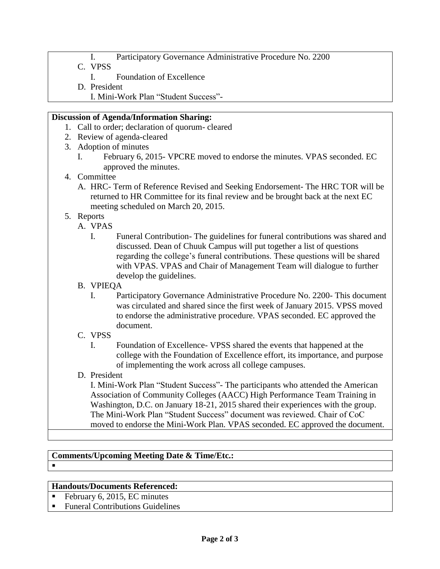- I. Participatory Governance Administrative Procedure No. 2200
- C. VPSS
	- I. Foundation of Excellence
- D. President
	- I. Mini-Work Plan "Student Success"-

#### **Discussion of Agenda/Information Sharing:**

- 1. Call to order; declaration of quorum- cleared
- 2. Review of agenda-cleared
- 3. Adoption of minutes
	- I. February 6, 2015- VPCRE moved to endorse the minutes. VPAS seconded. EC approved the minutes.
- 4. Committee
	- A. HRC- Term of Reference Revised and Seeking Endorsement- The HRC TOR will be returned to HR Committee for its final review and be brought back at the next EC meeting scheduled on March 20, 2015.
- 5. Reports
	- A. VPAS
		- I. Funeral Contribution- The guidelines for funeral contributions was shared and discussed. Dean of Chuuk Campus will put together a list of questions regarding the college's funeral contributions. These questions will be shared with VPAS. VPAS and Chair of Management Team will dialogue to further develop the guidelines.
	- B. VPIEQA
		- I. Participatory Governance Administrative Procedure No. 2200- This document was circulated and shared since the first week of January 2015. VPSS moved to endorse the administrative procedure. VPAS seconded. EC approved the document.
	- C. VPSS
		- I. Foundation of Excellence- VPSS shared the events that happened at the college with the Foundation of Excellence effort, its importance, and purpose of implementing the work across all college campuses.
	- D. President

I. Mini-Work Plan "Student Success"- The participants who attended the American Association of Community Colleges (AACC) High Performance Team Training in Washington, D.C. on January 18-21, 2015 shared their experiences with the group. The Mini-Work Plan "Student Success" document was reviewed. Chair of CoC moved to endorse the Mini-Work Plan. VPAS seconded. EC approved the document.

## **Comments/Upcoming Meeting Date & Time/Etc.:**

#### **Handouts/Documents Referenced:**

February 6, 2015, EC minutes

 $\blacksquare$ 

■ Funeral Contributions Guidelines